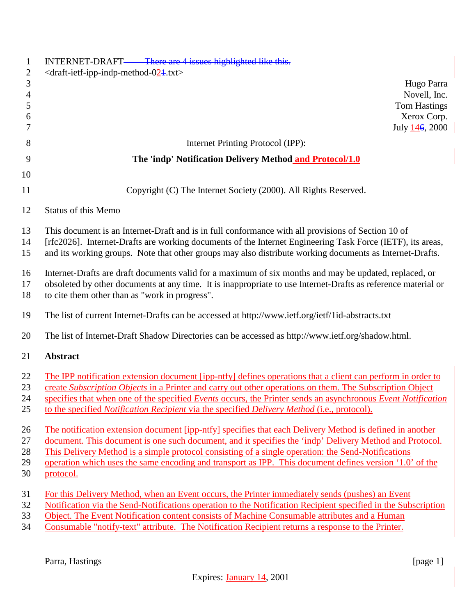| $\mathbf{1}$<br>$\mathbf{2}$ | INTERNET-DRAFT—— There are 4 issues highlighted like this.<br>$\langle$ draft-ietf-ipp-indp-method-024.txt>                                                                                                   |
|------------------------------|---------------------------------------------------------------------------------------------------------------------------------------------------------------------------------------------------------------|
| $\mathfrak{Z}$               | Hugo Parra                                                                                                                                                                                                    |
| $\overline{4}$               | Novell, Inc.                                                                                                                                                                                                  |
| 5<br>6                       | <b>Tom Hastings</b><br>Xerox Corp.                                                                                                                                                                            |
| 7                            | July 146, 2000                                                                                                                                                                                                |
| 8                            | Internet Printing Protocol (IPP):                                                                                                                                                                             |
| 9                            | The 'indp' Notification Delivery Method and Protocol/1.0                                                                                                                                                      |
| 10                           |                                                                                                                                                                                                               |
| 11                           | Copyright (C) The Internet Society (2000). All Rights Reserved.                                                                                                                                               |
| 12                           | <b>Status of this Memo</b>                                                                                                                                                                                    |
| 13                           | This document is an Internet-Draft and is in full conformance with all provisions of Section 10 of                                                                                                            |
| 14                           | [rfc2026]. Internet-Drafts are working documents of the Internet Engineering Task Force (IETF), its areas,                                                                                                    |
| 15                           | and its working groups. Note that other groups may also distribute working documents as Internet-Drafts.                                                                                                      |
| 16                           | Internet-Drafts are draft documents valid for a maximum of six months and may be updated, replaced, or                                                                                                        |
| 17                           | obsoleted by other documents at any time. It is inappropriate to use Internet-Drafts as reference material or                                                                                                 |
| 18                           | to cite them other than as "work in progress".                                                                                                                                                                |
| 19                           | The list of current Internet-Drafts can be accessed at http://www.ietf.org/ietf/1id-abstracts.txt                                                                                                             |
| 20                           | The list of Internet-Draft Shadow Directories can be accessed as http://www.ietf.org/shadow.html.                                                                                                             |
| 21                           | <b>Abstract</b>                                                                                                                                                                                               |
| 22                           | The IPP notification extension document [ipp-ntfy] defines operations that a client can perform in order to                                                                                                   |
| 23                           | create Subscription Objects in a Printer and carry out other operations on them. The Subscription Object                                                                                                      |
| 24                           | specifies that when one of the specified Events occurs, the Printer sends an asynchronous Event Notification                                                                                                  |
| 25                           | to the specified Notification Recipient via the specified Delivery Method (i.e., protocol).                                                                                                                   |
| 26                           | The notification extension document [ipp-ntfy] specifies that each Delivery Method is defined in another                                                                                                      |
| 27                           | document. This document is one such document, and it specifies the 'indp' Delivery Method and Protocol.                                                                                                       |
| 28<br>29                     | This Delivery Method is a simple protocol consisting of a single operation: the Send-Notifications<br>operation which uses the same encoding and transport as IPP. This document defines version '1.0' of the |
| 30                           | protocol.                                                                                                                                                                                                     |
| 31                           | For this Delivery Method, when an Event occurs, the Printer immediately sends (pushes) an Event                                                                                                               |
| 32                           | Notification via the Send-Notifications operation to the Notification Recipient specified in the Subscription                                                                                                 |
| 33                           | Object. The Event Notification content consists of Machine Consumable attributes and a Human                                                                                                                  |
| 34                           | Consumable "notify-text" attribute. The Notification Recipient returns a response to the Printer.                                                                                                             |

Parra, Hastings [page 1]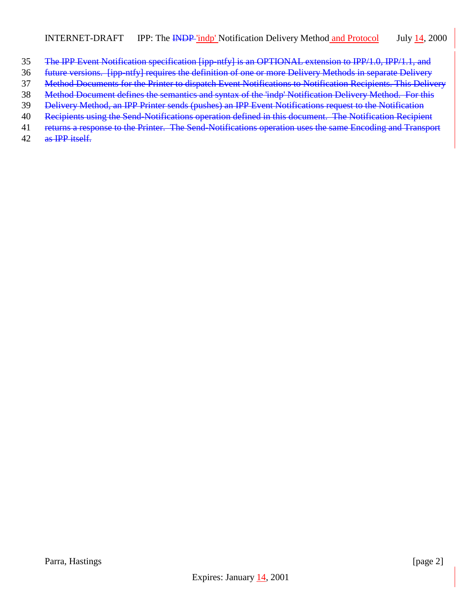- The IPP Event Notification specification [ipp-ntfy] is an OPTIONAL extension to IPP/1.0, IPP/1.1, and
- future versions. [ipp-ntfy] requires the definition of one or more Delivery Methods in separate Delivery
- Method Documents for the Printer to dispatch Event Notifications to Notification Recipients. This Delivery
- Method Document defines the semantics and syntax of the 'indp' Notification Delivery Method. For this
- Delivery Method, an IPP Printer sends (pushes) an IPP Event Notifications request to the Notification
- Recipients using the Send-Notifications operation defined in this document. The Notification Recipient
- 41 returns a response to the Printer. The Send-Notifications operation uses the same Encoding and Transport
- as IPP itself.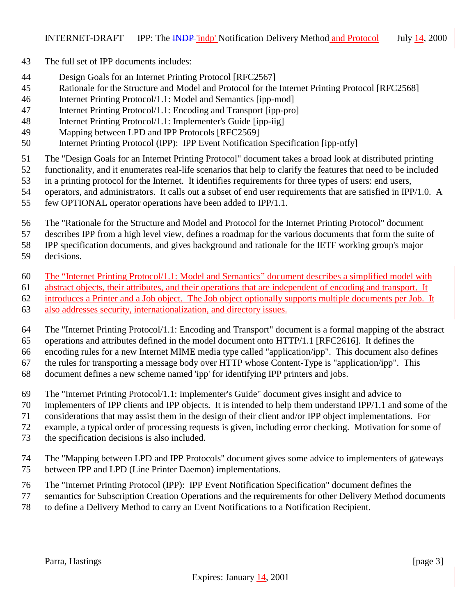- The full set of IPP documents includes:
- Design Goals for an Internet Printing Protocol [RFC2567]
- Rationale for the Structure and Model and Protocol for the Internet Printing Protocol [RFC2568]
- Internet Printing Protocol/1.1: Model and Semantics [ipp-mod]
- Internet Printing Protocol/1.1: Encoding and Transport [ipp-pro]
- Internet Printing Protocol/1.1: Implementer's Guide [ipp-iig]
- Mapping between LPD and IPP Protocols [RFC2569]
- Internet Printing Protocol (IPP): IPP Event Notification Specification [ipp-ntfy]
- The "Design Goals for an Internet Printing Protocol" document takes a broad look at distributed printing
- functionality, and it enumerates real-life scenarios that help to clarify the features that need to be included
- in a printing protocol for the Internet. It identifies requirements for three types of users: end users,
- operators, and administrators. It calls out a subset of end user requirements that are satisfied in IPP/1.0. A
- few OPTIONAL operator operations have been added to IPP/1.1.
- The "Rationale for the Structure and Model and Protocol for the Internet Printing Protocol" document
- describes IPP from a high level view, defines a roadmap for the various documents that form the suite of

IPP specification documents, and gives background and rationale for the IETF working group's major

- decisions.
- The "Internet Printing Protocol/1.1: Model and Semantics" document describes a simplified model with
- abstract objects, their attributes, and their operations that are independent of encoding and transport. It
- introduces a Printer and a Job object. The Job object optionally supports multiple documents per Job. It
- also addresses security, internationalization, and directory issues.
- The "Internet Printing Protocol/1.1: Encoding and Transport" document is a formal mapping of the abstract
- operations and attributes defined in the model document onto HTTP/1.1 [RFC2616]. It defines the
- encoding rules for a new Internet MIME media type called "application/ipp". This document also defines the rules for transporting a message body over HTTP whose Content-Type is "application/ipp". This
- document defines a new scheme named 'ipp' for identifying IPP printers and jobs.
- The "Internet Printing Protocol/1.1: Implementer's Guide" document gives insight and advice to
- implementers of IPP clients and IPP objects. It is intended to help them understand IPP/1.1 and some of the
- considerations that may assist them in the design of their client and/or IPP object implementations. For
- example, a typical order of processing requests is given, including error checking. Motivation for some of
- the specification decisions is also included.
- The "Mapping between LPD and IPP Protocols" document gives some advice to implementers of gateways between IPP and LPD (Line Printer Daemon) implementations.
- The "Internet Printing Protocol (IPP): IPP Event Notification Specification" document defines the
- semantics for Subscription Creation Operations and the requirements for other Delivery Method documents
- to define a Delivery Method to carry an Event Notifications to a Notification Recipient.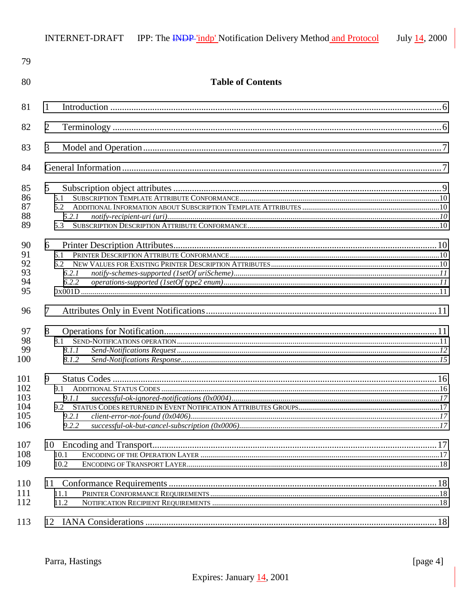| 79                                     |                                     |  |
|----------------------------------------|-------------------------------------|--|
| 80                                     | <b>Table of Contents</b>            |  |
| 81                                     | 1                                   |  |
| 82                                     | $\overline{2}$                      |  |
| 83                                     | 3                                   |  |
| 84                                     |                                     |  |
| 85<br>86<br>87<br>88<br>89             | 5<br>5.1<br>5.2.1<br>5.3            |  |
| 90<br>91<br>92<br>93<br>94<br>95       | 6<br>6.1<br>6.2.1<br>6.2.2          |  |
| 96                                     | 7                                   |  |
| 97<br>98<br>99<br>100                  | 8<br>8.1.1<br>8.1.2                 |  |
| 101<br>102<br>103<br>104<br>105<br>106 | 9<br>9.1.1<br>9.2<br>9.2.1<br>9.2.2 |  |
| 107<br>108<br>109                      | 10.1<br>10.2                        |  |
| 110<br>111<br>112                      | 11.1<br>11.2                        |  |
| 113                                    |                                     |  |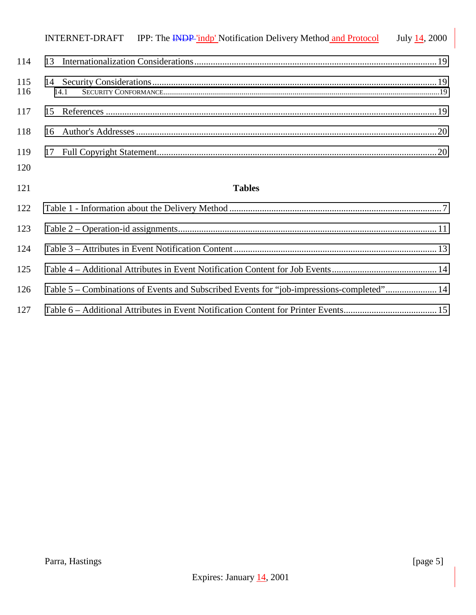|            | INTERNET-DRAFT IPP: The INDP 'indp' Notification Delivery Method and Protocol             | July 14, 2000 |
|------------|-------------------------------------------------------------------------------------------|---------------|
| 114        |                                                                                           |               |
| 115<br>116 | 14.1                                                                                      |               |
| 117        |                                                                                           |               |
| 118        |                                                                                           |               |
| 119        |                                                                                           |               |
| 120        |                                                                                           |               |
| 121        | <b>Tables</b>                                                                             |               |
| 122        |                                                                                           |               |
| 123        |                                                                                           |               |
| 124        |                                                                                           |               |
| 125        |                                                                                           |               |
| 126        | Table 5 – Combinations of Events and Subscribed Events for "job-impressions-completed" 14 |               |

[Table 6 – Additional Attributes in Event Notification Content for Printer Events........................................ 15](#page-14-0)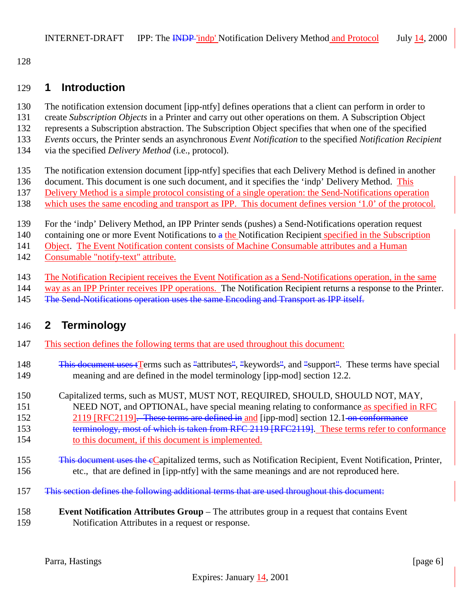<span id="page-5-0"></span>

### **1 Introduction**

- The notification extension document [ipp-ntfy] defines operations that a client can perform in order to
- create *Subscription Objects* in a Printer and carry out other operations on them. A Subscription Object
- represents a Subscription abstraction. The Subscription Object specifies that when one of the specified
- *Events* occurs, the Printer sends an asynchronous *Event Notification* to the specified *Notification Recipient*
- via the specified *Delivery Method* (i.e., protocol).
- The notification extension document [ipp-ntfy] specifies that each Delivery Method is defined in another
- 136 document. This document is one such document, and it specifies the 'indp' Delivery Method. This
- Delivery Method is a simple protocol consisting of a single operation: the Send-Notifications operation
- which uses the same encoding and transport as IPP. This document defines version '1.0' of the protocol.
- For the 'indp' Delivery Method, an IPP Printer sends (pushes) a Send-Notifications operation request
- 140 containing one or more Event Notifications to a the Notification Recipient specified in the Subscription

Object. The Event Notification content consists of Machine Consumable attributes and a Human

- Consumable "notify-text" attribute.
- The Notification Recipient receives the Event Notification as a Send-Notifications operation, in the same
- way as an IPP Printer receives IPP operations. The Notification Recipient returns a response to the Printer.
- 145 The Send-Notifications operation uses the same Encoding and Transport as IPP itself.

# **2 Terminology**

- This section defines the following terms that are used throughout this document:
- 148 This document uses tTerms such as "attributes", "keywords", and "support". These terms have special meaning and are defined in the model terminology [ipp-mod] section 12.2.
- Capitalized terms, such as MUST, MUST NOT, REQUIRED, SHOULD, SHOULD NOT, MAY, NEED NOT, and OPTIONAL, have special meaning relating to conformance as specified in RFC
- 152 2119 [RFC2119]. These terms are defined in and [ipp-mod] section 12.1 on conformance 153 terminology, most of which is taken from RFC 2119 [RFC2119]. These terms refer to conformance to this document, if this document is implemented.
- 155 This document uses the eCapitalized terms, such as Notification Recipient, Event Notification, Printer, etc., that are defined in [ipp-ntfy] with the same meanings and are not reproduced here.
- This section defines the following additional terms that are used throughout this document:
- **Event Notification Attributes Group**  The attributes group in a request that contains Event Notification Attributes in a request or response.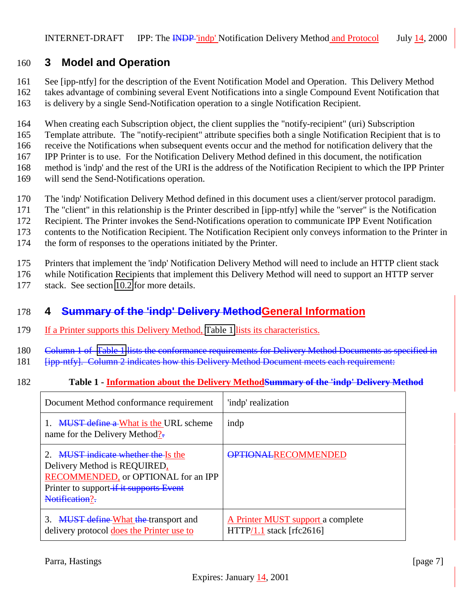# <span id="page-6-0"></span>160 **3 Model and Operation**

161 See [ipp-ntfy] for the description of the Event Notification Model and Operation. This Delivery Method

162 takes advantage of combining several Event Notifications into a single Compound Event Notification that 163 is delivery by a single Send-Notification operation to a single Notification Recipient.

164 When creating each Subscription object, the client supplies the "notify-recipient" (uri) Subscription

165 Template attribute. The "notify-recipient" attribute specifies both a single Notification Recipient that is to

166 receive the Notifications when subsequent events occur and the method for notification delivery that the

167 IPP Printer is to use. For the Notification Delivery Method defined in this document, the notification

- 168 method is 'indp' and the rest of the URI is the address of the Notification Recipient to which the IPP Printer
- 169 will send the Send-Notifications operation.
- 170 The 'indp' Notification Delivery Method defined in this document uses a client/server protocol paradigm.
- 171 The "client" in this relationship is the Printer described in [ipp-ntfy] while the "server" is the Notification
- 172 Recipient. The Printer invokes the Send-Notifications operation to communicate IPP Event Notification
- 173 contents to the Notification Recipient. The Notification Recipient only conveys information to the Printer in
- 174 the form of responses to the operations initiated by the Printer.
- 175 Printers that implement the 'indp' Notification Delivery Method will need to include an HTTP client stack
- 176 while Notification Recipients that implement this Delivery Method will need to support an HTTP server
- 177 stack. See section [10.2](#page-17-0) for more details.

# 178 **4 Summary of the 'indp' Delivery MethodGeneral Information**

- 179 If a Printer supports this Delivery Method, Table 1 lists its characteristics.
- 180 Column 1 of Table 1 lists the conformance requirements for Delivery Method Documents as specified in
- 181 **[ipp-ntfy]. Column 2 indicates how this Delivery Method Document meets each requirement:**
- 182 **Table 1 Information about the Delivery MethodSummary of the 'indp' Delivery Method**

| Document Method conformance requirement                                                                                                                                     | 'indp' realization                                              |
|-----------------------------------------------------------------------------------------------------------------------------------------------------------------------------|-----------------------------------------------------------------|
| <b>MUST define a What is the URL scheme</b><br>name for the Delivery Method?-                                                                                               | indp                                                            |
| <b>MUST</b> indicate whether the Is the<br>Delivery Method is REQUIRED,<br>RECOMMENDED, or OPTIONAL for an IPP<br>Printer to support-if it supports Event<br>Notification?- | <b>OPTIONALRECOMMENDED</b>                                      |
| 3. MUST define What the transport and<br>delivery protocol does the Printer use to                                                                                          | A Printer MUST support a complete<br>$HTTP/1.1$ stack [rfc2616] |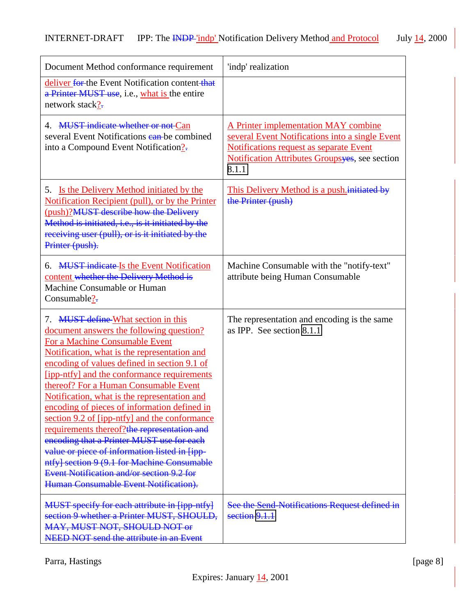| Document Method conformance requirement                                                                                                                                                                                                                                                                                                                                                                                                                                                                                                                                                                                                                                                                                                      | 'indp' realization                                                                                                                                                                                    |
|----------------------------------------------------------------------------------------------------------------------------------------------------------------------------------------------------------------------------------------------------------------------------------------------------------------------------------------------------------------------------------------------------------------------------------------------------------------------------------------------------------------------------------------------------------------------------------------------------------------------------------------------------------------------------------------------------------------------------------------------|-------------------------------------------------------------------------------------------------------------------------------------------------------------------------------------------------------|
| deliver for the Event Notification content that<br>a Printer MUST use, i.e., what is the entire<br>network stack?-                                                                                                                                                                                                                                                                                                                                                                                                                                                                                                                                                                                                                           |                                                                                                                                                                                                       |
| 4. MUST indicate whether or not Can<br>several Event Notifications ean-be combined<br>into a Compound Event Notification?-                                                                                                                                                                                                                                                                                                                                                                                                                                                                                                                                                                                                                   | A Printer implementation MAY combine<br>several Event Notifications into a single Event<br>Notifications request as separate Event<br><b>Notification Attributes Groupsyes</b> , see section<br>8.1.1 |
| 5. <u>Is the Delivery Method initiated by the</u><br>Notification Recipient (pull), or by the Printer<br>(push)?MUST describe how the Delivery<br>Method is initiated, i.e., is it initiated by the<br>receiving user (pull), or is it initiated by the<br>Printer (push).                                                                                                                                                                                                                                                                                                                                                                                                                                                                   | This Delivery Method is a push initiated by<br>the Printer (push)                                                                                                                                     |
| <b>MUST</b> indicate Is the Event Notification<br>6.<br>content whether the Delivery Method is<br>Machine Consumable or Human<br>Consumable?-                                                                                                                                                                                                                                                                                                                                                                                                                                                                                                                                                                                                | Machine Consumable with the "notify-text"<br>attribute being Human Consumable                                                                                                                         |
| 7. MUST define-What section in this<br>document answers the following question?<br>For a Machine Consumable Event<br>Notification, what is the representation and<br>encoding of values defined in section 9.1 of<br>[ipp-ntfy] and the conformance requirements<br>thereof? For a Human Consumable Event<br>Notification, what is the representation and<br>encoding of pieces of information defined in<br>section 9.2 of [ipp-ntfy] and the conformance<br>requirements thereof?the representation and<br>encoding that a Printer MUST use for each<br>value or piece of information listed in [ipp-<br>ntfy] section 9 (9.1 for Machine Consumable<br>Event Notification and/or section 9.2 for<br>Human Consumable Event Notification). | The representation and encoding is the same<br>as IPP. See section 8.1.1                                                                                                                              |
| MUST specify for each attribute in [ipp-ntfy]<br>section 9 whether a Printer MUST, SHOULD,<br>MAY, MUST NOT, SHOULD NOT or<br>NEED NOT send the attribute in an Event                                                                                                                                                                                                                                                                                                                                                                                                                                                                                                                                                                        | See the Send-Notifications Request defined in<br>section 9.1.1                                                                                                                                        |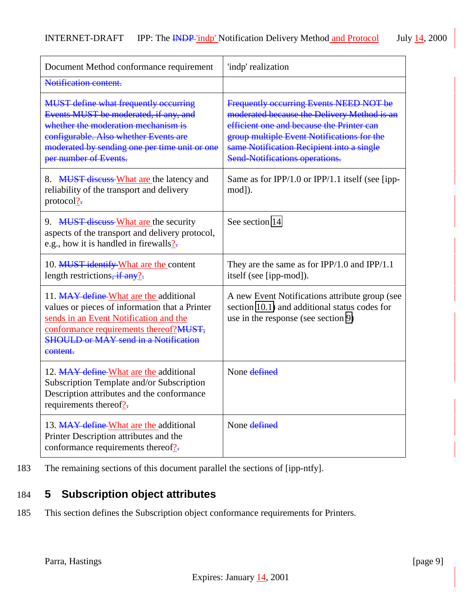<span id="page-8-0"></span>

| Document Method conformance requirement                                                                                                                                                                                                         | 'indp' realization                                                                                                                                                                                                                                                      |
|-------------------------------------------------------------------------------------------------------------------------------------------------------------------------------------------------------------------------------------------------|-------------------------------------------------------------------------------------------------------------------------------------------------------------------------------------------------------------------------------------------------------------------------|
| Notification content.                                                                                                                                                                                                                           |                                                                                                                                                                                                                                                                         |
| <b>MUST define what frequently occurring</b><br>Events MUST be moderated, if any, and<br>whether the moderation mechanism is<br>configurable. Also whether Events are<br>moderated by sending one per time unit or one<br>per number of Events. | Frequently occurring Events NEED NOT be<br>moderated because the Delivery Method is an<br>efficient one and because the Printer can<br>group multiple Event Notifications for the<br>same Notification Recipient into a single<br><b>Send-Notifications operations.</b> |
| 8. MUST discuss-What are the latency and<br>reliability of the transport and delivery<br>protocol?                                                                                                                                              | Same as for IPP/1.0 or IPP/1.1 itself (see [ipp-<br>mod]).                                                                                                                                                                                                              |
| 9. MUST discuss-What are the security<br>aspects of the transport and delivery protocol,<br>e.g., how it is handled in firewalls?-                                                                                                              | See section 14                                                                                                                                                                                                                                                          |
| 10. MUST identify What are the content<br>length restrictions, if any?-                                                                                                                                                                         | They are the same as for $IPP/1.0$ and $IPP/1.1$<br>itself (see [ipp-mod]).                                                                                                                                                                                             |
| 11. MAY define What are the additional<br>values or pieces of information that a Printer<br>sends in an Event Notification and the<br>conformance requirements thereof?MUST,<br><b>SHOULD or MAY send in a Notification</b><br>content.         | A new Event Notifications attribute group (see<br>section 10.1) and additional status codes for<br>use in the response (see section 9)                                                                                                                                  |
| 12. MAY define What are the additional<br>Subscription Template and/or Subscription<br>Description attributes and the conformance<br>requirements thereof?-                                                                                     | None defined                                                                                                                                                                                                                                                            |
| 13. MAY define-What are the additional<br>Printer Description attributes and the<br>conformance requirements thereof $?$ .                                                                                                                      | None defined                                                                                                                                                                                                                                                            |

183 The remaining sections of this document parallel the sections of [ipp-ntfy].

# 184 **5 Subscription object attributes**

185 This section defines the Subscription object conformance requirements for Printers.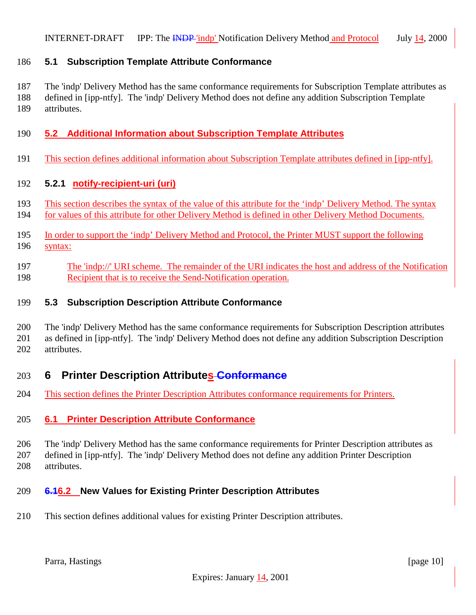### <span id="page-9-0"></span>**5.1 Subscription Template Attribute Conformance**

 The 'indp' Delivery Method has the same conformance requirements for Subscription Template attributes as defined in [ipp-ntfy]. The 'indp' Delivery Method does not define any addition Subscription Template attributes.

### **5.2 Additional Information about Subscription Template Attributes**

This section defines additional information about Subscription Template attributes defined in [ipp-ntfy].

#### **5.2.1 notify-recipient-uri (uri)**

- This section describes the syntax of the value of this attribute for the 'indp' Delivery Method. The syntax
- for values of this attribute for other Delivery Method is defined in other Delivery Method Documents.
- In order to support the 'indp' Delivery Method and Protocol, the Printer MUST support the following syntax:
- The 'indp://' URI scheme. The remainder of the URI indicates the host and address of the Notification 198 Recipient that is to receive the Send-Notification operation.

#### **5.3 Subscription Description Attribute Conformance**

 The 'indp' Delivery Method has the same conformance requirements for Subscription Description attributes as defined in [ipp-ntfy]. The 'indp' Delivery Method does not define any addition Subscription Description attributes.

## **6 Printer Description Attributes Conformance**

This section defines the Printer Description Attributes conformance requirements for Printers.

#### **6.1 Printer Description Attribute Conformance**

 The 'indp' Delivery Method has the same conformance requirements for Printer Description attributes as defined in [ipp-ntfy]. The 'indp' Delivery Method does not define any addition Printer Description attributes.

#### **6.16.2 New Values for Existing Printer Description Attributes**

This section defines additional values for existing Printer Description attributes.

Parra, Hastings [page 10] [page 10]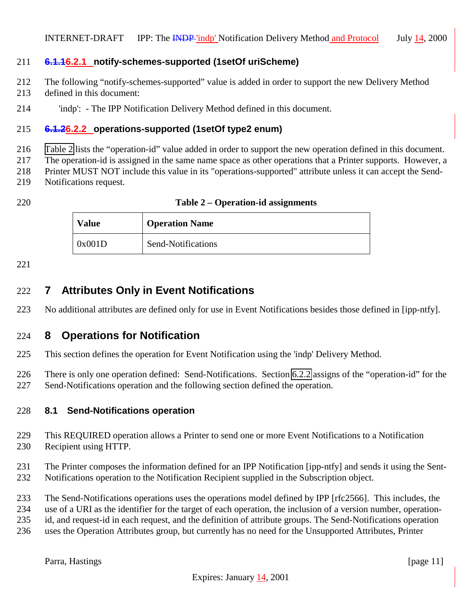### <span id="page-10-0"></span>**6.1.16.2.1 notify-schemes-supported (1setOf uriScheme)**

- The following "notify-schemes-supported" value is added in order to support the new Delivery Method
- defined in this document:
- 'indp': The IPP Notification Delivery Method defined in this document.

### **6.1.26.2.2 operations-supported (1setOf type2 enum)**

Table 2 lists the "operation-id" value added in order to support the new operation defined in this document.

The operation-id is assigned in the same name space as other operations that a Printer supports. However, a

Printer MUST NOT include this value in its "operations-supported" attribute unless it can accept the Send-

- Notifications request.
- 

| 220 | Table 2 – Operation-id assignments |
|-----|------------------------------------|
|-----|------------------------------------|

| Value  | <b>Operation Name</b> |
|--------|-----------------------|
| 0x001D | Send-Notifications    |

# **7 Attributes Only in Event Notifications**

No additional attributes are defined only for use in Event Notifications besides those defined in [ipp-ntfy].

### **8 Operations for Notification**

This section defines the operation for Event Notification using the 'indp' Delivery Method.

 There is only one operation defined: Send-Notifications. Section 6.2.2 assigns of the "operation-id" for the Send-Notifications operation and the following section defined the operation.

#### **8.1 Send-Notifications operation**

- This REQUIRED operation allows a Printer to send one or more Event Notifications to a Notification Recipient using HTTP.
- The Printer composes the information defined for an IPP Notification [ipp-ntfy] and sends it using the Sent-Notifications operation to the Notification Recipient supplied in the Subscription object.
- The Send-Notifications operations uses the operations model defined by IPP [rfc2566]. This includes, the
- use of a URI as the identifier for the target of each operation, the inclusion of a version number, operation-
- id, and request-id in each request, and the definition of attribute groups. The Send-Notifications operation
- uses the Operation Attributes group, but currently has no need for the Unsupported Attributes, Printer

Parra, Hastings [page 11]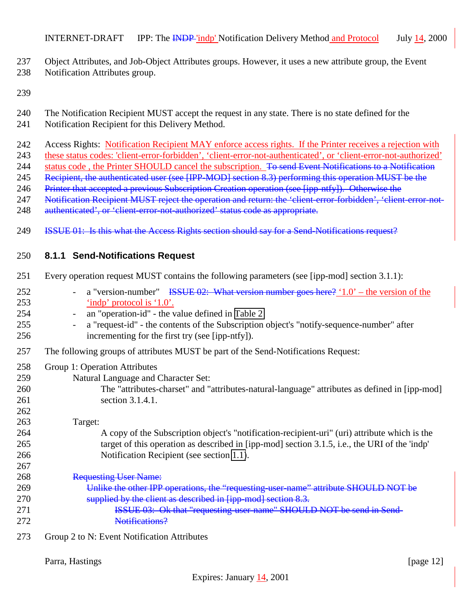- <span id="page-11-0"></span>Object Attributes, and Job-Object Attributes groups. However, it uses a new attribute group, the Event
- Notification Attributes group.
- 
- The Notification Recipient MUST accept the request in any state. There is no state defined for the
- Notification Recipient for this Delivery Method.
- Access Rights: Notification Recipient MAY enforce access rights. If the Printer receives a rejection with
- these status codes: 'client-error-forbidden', 'client-error-not-authenticated', or 'client-error-not-authorized'
- 244 status code, the Printer SHOULD cancel the subscription. To send Event Notifications to a Notification
- 245 Recipient, the authenticated user (see [IPP-MOD] section 8.3) performing this operation MUST be the
- 246 Printer that accepted a previous Subscription Creation operation (see [ipp-ntfy]). Otherwise the
- 247 Notification Recipient MUST reject the operation and return: the 'client-error-forbidden', 'client-error-not-
- 248 authenticated', or 'client-error-not-authorized' status code as appropriate.
- **ISSUE 01:** Is this what the Access Rights section should say for a Send-Notifications request?

# **8.1.1 Send-Notifications Request**

- Every operation request MUST contains the following parameters (see [ipp-mod] section 3.1.1):
- 252 a "version-number" <del>ISSUE 02: What version number goes here?</del> '1.0' the version of the 'indp' protocol is '1.0'.
- an "operation-id" the value defined in [Table 2](#page-10-0)
- a "request-id" the contents of the Subscription object's "notify-sequence-number" after incrementing for the first try (see [ipp-ntfy]).
- The following groups of attributes MUST be part of the Send-Notifications Request:
- Group 1: Operation Attributes
- Natural Language and Character Set:
- The "attributes-charset" and "attributes-natural-language" attributes as defined in [ipp-mod] section 3.1.4.1.

# Target:

- A copy of the Subscription object's "notification-recipient-uri" (uri) attribute which is the target of this operation as described in [ipp-mod] section 3.1.5, i.e., the URI of the 'indp' Notification Recipient (see section [1.1\)](#page-15-0).
- 268 Requesting User Name: 269 Unlike the other IPP operations, the "requesting-user-name" attribute SHOULD NOT be 270 supplied by the client as described in [ipp-mod] section 8.3. **ISSUE 03:** Ok that "requesting-user-name" SHOULD NOT be send in Send-Notifications?
- Group 2 to N: Event Notification Attributes

Parra, Hastings [page 12]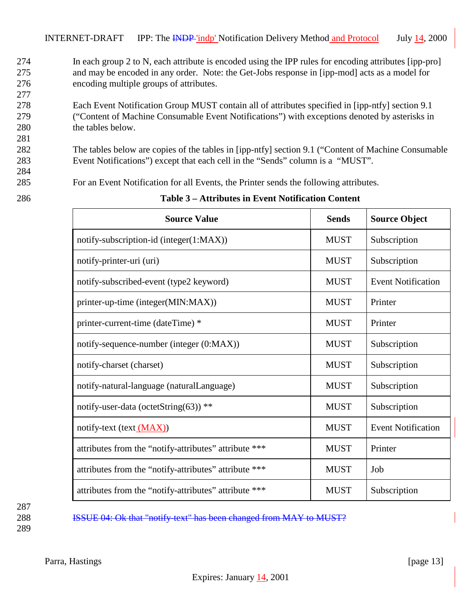- <span id="page-12-0"></span>274 In each group 2 to N, each attribute is encoded using the IPP rules for encoding attributes [ipp-pro] 275 and may be encoded in any order. Note: the Get-Jobs response in [ipp-mod] acts as a model for 276 encoding multiple groups of attributes.
- 278 Each Event Notification Group MUST contain all of attributes specified in [ipp-ntfy] section 9.1 279 ("Content of Machine Consumable Event Notifications") with exceptions denoted by asterisks in 280 the tables below.
- 282 The tables below are copies of the tables in [ipp-ntfy] section 9.1 ("Content of Machine Consumable 283 Event Notifications") except that each cell in the "Sends" column is a "MUST".
- 285 For an Event Notification for all Events, the Printer sends the following attributes.
	- Source Value **Sends** Sends Source Object notify-subscription-id (integer(1:MAX)) NUST Subscription notify-printer-uri (uri) and the subscription of the MUST Subscription notify-subscribed-event (type2 keyword) MUST Event Notification printer-up-time (integer(MIN:MAX)) MUST Printer printer-current-time (dateTime) \* MUST Printer notify-sequence-number (integer (0:MAX)) MUST Subscription notify-charset (charset) and the subscription of the subscription of the subscription of  $\sim$  MUST Subscription notify-natural-language (naturalLanguage) MUST Subscription notify-user-data (octetString(63)) \*\* MUST Subscription notify-text (text (MAX)) MUST Event Notification attributes from the "notify-attributes" attribute \*\*\* MUST | Printer attributes from the "notify-attributes" attribute \*\*\* MUST | Job attributes from the "notify-attributes" attribute \*\*\* MUST Subscription
- 286 **Table 3 Attributes in Event Notification Content**

287 288 **ISSUE 04: Ok that "notify-text" has been changed from MAY to MUST?** 289

277

281

284

Parra, Hastings [page 13]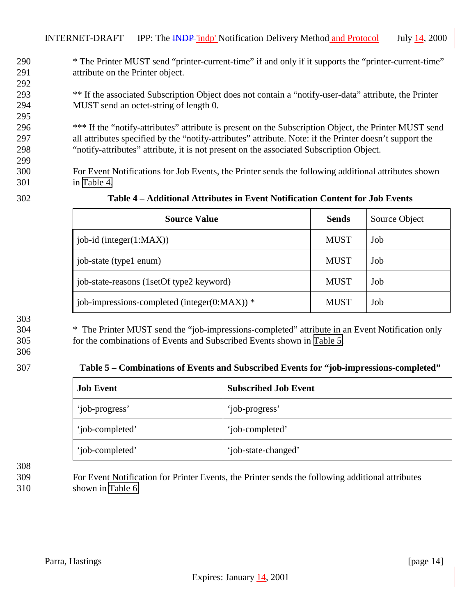<span id="page-13-0"></span>INTERNET-DRAFT IPP: The INDP 'indp' Notification Delivery Method and Protocol July 14, 200

 \* The Printer MUST send "printer-current-time" if and only if it supports the "printer-current-time" attribute on the Printer object. 

 \*\* If the associated Subscription Object does not contain a "notify-user-data" attribute, the Printer MUST send an octet-string of length 0. 

 \*\*\* If the "notify-attributes" attribute is present on the Subscription Object, the Printer MUST send all attributes specified by the "notify-attributes" attribute. Note: if the Printer doesn't support the "notify-attributes" attribute, it is not present on the associated Subscription Object.

 For Event Notifications for Job Events, the Printer sends the following additional attributes shown in Table 4.

 $\Gamma$ 

| <b>Source Value</b>                              | <b>Sends</b> | Source Object |
|--------------------------------------------------|--------------|---------------|
| job-id (integer $(1:MAX)$ )                      | <b>MUST</b>  | Job           |
| job-state (type1 enum)                           | <b>MUST</b>  | Job           |
| job-state-reasons (1setOf type2 keyword)         | <b>MUST</b>  | Job           |
| job-impressions-completed (integer( $0:MAX$ )) * | <b>MUST</b>  | Job           |

#### **Table 4 – Additional Attributes in Event Notification Content for Job Events**

 \* The Printer MUST send the "job-impressions-completed" attribute in an Event Notification only for the combinations of Events and Subscribed Events shown in Table 5.

#### **Table 5 – Combinations of Events and Subscribed Events for "job-impressions-completed"**

| <b>Job Event</b> | <b>Subscribed Job Event</b> |
|------------------|-----------------------------|
| 'job-progress'   | 'job-progress'              |
| 'job-completed'  | 'job-completed'             |
| 'job-completed'  | 'job-state-changed'         |

 For Event Notification for Printer Events, the Printer sends the following additional attributes shown in [Table 6.](#page-14-0)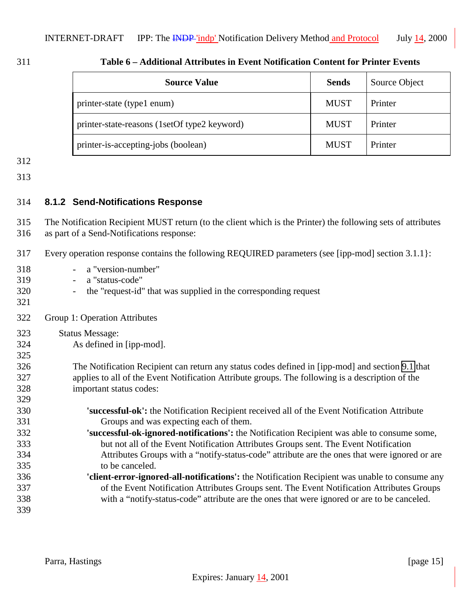<span id="page-14-0"></span>

| 311 | Table 6 – Additional Attributes in Event Notification Content for Printer Events |
|-----|----------------------------------------------------------------------------------|
|     |                                                                                  |

| <b>Source Value</b>                          | <b>Sends</b> | Source Object |
|----------------------------------------------|--------------|---------------|
| printer-state (type1 enum)                   | <b>MUST</b>  | Printer       |
| printer-state-reasons (1setOf type2 keyword) | <b>MUST</b>  | Printer       |
| printer-is-accepting-jobs (boolean)          | <b>MUST</b>  | Printer       |

#### **8.1.2 Send-Notifications Response**

 The Notification Recipient MUST return (to the client which is the Printer) the following sets of attributes as part of a Send-Notifications response:

- Every operation response contains the following REQUIRED parameters (see [ipp-mod] section 3.1.1}:
- a "version-number"
- a "status-code"
- the "request-id" that was supplied in the corresponding request
- Group 1: Operation Attributes
- Status Message:
- As defined in [ipp-mod].
- The Notification Recipient can return any status codes defined in [ipp-mod] and section [9.1](#page-15-0) that applies to all of the Event Notification Attribute groups. The following is a description of the important status codes:
- **'successful-ok':** the Notification Recipient received all of the Event Notification Attribute Groups and was expecting each of them. **'successful-ok-ignored-notifications':** the Notification Recipient was able to consume some, but not all of the Event Notification Attributes Groups sent. The Event Notification
- Attributes Groups with a "notify-status-code" attribute are the ones that were ignored or are to be canceled.
- **'client-error-ignored-all-notifications':** the Notification Recipient was unable to consume any of the Event Notification Attributes Groups sent. The Event Notification Attributes Groups with a "notify-status-code" attribute are the ones that were ignored or are to be canceled.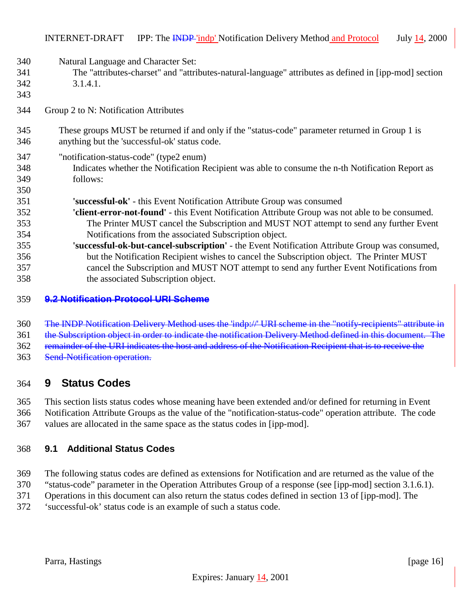- <span id="page-15-0"></span>Natural Language and Character Set:
- The "attributes-charset" and "attributes-natural-language" attributes as defined in [ipp-mod] section 3.1.4.1.
- 

- Group 2 to N: Notification Attributes
- These groups MUST be returned if and only if the "status-code" parameter returned in Group 1 is anything but the 'successful-ok' status code.
- "notification-status-code" (type2 enum)
- Indicates whether the Notification Recipient was able to consume the n-th Notification Report as follows:
- **'successful-ok'** this Event Notification Attribute Group was consumed
- **'client-error-not-found'** this Event Notification Attribute Group was not able to be consumed. The Printer MUST cancel the Subscription and MUST NOT attempt to send any further Event Notifications from the associated Subscription object.
- **'successful-ok-but-cancel-subscription'** the Event Notification Attribute Group was consumed, but the Notification Recipient wishes to cancel the Subscription object. The Printer MUST cancel the Subscription and MUST NOT attempt to send any further Event Notifications from the associated Subscription object.

#### **9.2 Notification Protocol URI Scheme**

The INDP Notification Delivery Method uses the 'indp://' URI scheme in the "notify-recipients" attribute in

the Subscription object in order to indicate the notification Delivery Method defined in this document. The

remainder of the URI indicates the host and address of the Notification Recipient that is to receive the

Send-Notification operation.

## **9 Status Codes**

This section lists status codes whose meaning have been extended and/or defined for returning in Event

 Notification Attribute Groups as the value of the "notification-status-code" operation attribute. The code values are allocated in the same space as the status codes in [ipp-mod].

#### **9.1 Additional Status Codes**

- The following status codes are defined as extensions for Notification and are returned as the value of the
- "status-code" parameter in the Operation Attributes Group of a response (see [ipp-mod] section 3.1.6.1).
- Operations in this document can also return the status codes defined in section 13 of [ipp-mod]. The
- 'successful-ok' status code is an example of such a status code.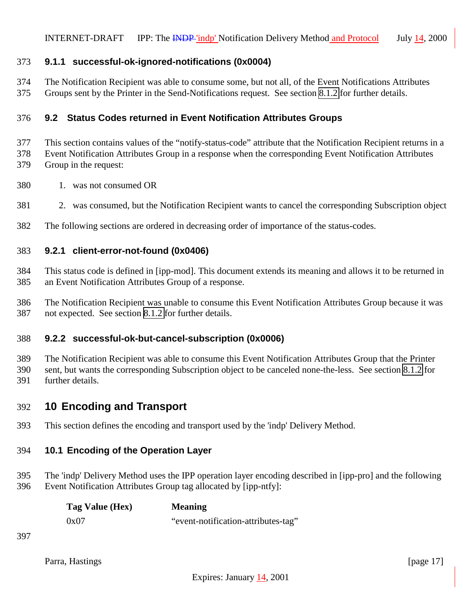### <span id="page-16-0"></span>**9.1.1 successful-ok-ignored-notifications (0x0004)**

- The Notification Recipient was able to consume some, but not all, of the Event Notifications Attributes
- Groups sent by the Printer in the Send-Notifications request. See section [8.1.2](#page-14-0) for further details.

### **9.2 Status Codes returned in Event Notification Attributes Groups**

- This section contains values of the "notify-status-code" attribute that the Notification Recipient returns in a
- Event Notification Attributes Group in a response when the corresponding Event Notification Attributes
- Group in the request:
- 1. was not consumed OR
- 2. was consumed, but the Notification Recipient wants to cancel the corresponding Subscription object
- The following sections are ordered in decreasing order of importance of the status-codes.

# **9.2.1 client-error-not-found (0x0406)**

- This status code is defined in [ipp-mod]. This document extends its meaning and allows it to be returned in an Event Notification Attributes Group of a response.
- The Notification Recipient was unable to consume this Event Notification Attributes Group because it was not expected. See section [8.1.2](#page-14-0) for further details.

## **9.2.2 successful-ok-but-cancel-subscription (0x0006)**

 The Notification Recipient was able to consume this Event Notification Attributes Group that the Printer sent, but wants the corresponding Subscription object to be canceled none-the-less. See section [8.1.2](#page-14-0) for further details.

# **10 Encoding and Transport**

This section defines the encoding and transport used by the 'indp' Delivery Method.

# **10.1 Encoding of the Operation Layer**

 The 'indp' Delivery Method uses the IPP operation layer encoding described in [ipp-pro] and the following Event Notification Attributes Group tag allocated by [ipp-ntfy]:

| Tag Value (Hex) | <b>Meaning</b>                      |
|-----------------|-------------------------------------|
| 0x07            | "event-notification-attributes-tag" |

Parra, Hastings [page 17]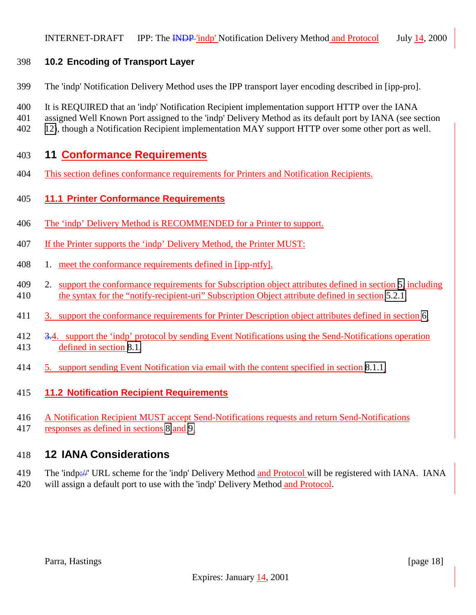### <span id="page-17-0"></span>**10.2 Encoding of Transport Layer**

- The 'indp' Notification Delivery Method uses the IPP transport layer encoding described in [ipp-pro].
- It is REQUIRED that an 'indp' Notification Recipient implementation support HTTP over the IANA
- assigned Well Known Port assigned to the 'indp' Delivery Method as its default port by IANA (see section
- 12), though a Notification Recipient implementation MAY support HTTP over some other port as well.

# **11 Conformance Requirements**

This section defines conformance requirements for Printers and Notification Recipients.

### **11.1 Printer Conformance Requirements**

- The 'indp' Delivery Method is RECOMMENDED for a Printer to support.
- If the Printer supports the 'indp' Delivery Method, the Printer MUST:
- 408 1. meet the conformance requirements defined in [ipp-ntfy].
- 409 2. support the conformance requirements for Subscription object attributes defined in section [5,](#page-8-0) including the syntax for the "notify-recipient-uri" Subscription Object attribute defined in section [5.2.1.](#page-9-0)
- 3. support the conformance requirements for Printer Description object attributes defined in section [6.](#page-9-0)
- 3.4. support the 'indp' protocol by sending Event Notifications using the Send-Notifications operation defined in section [8.1.](#page-10-0)
- 5. support sending Event Notification via email with the content specified in section [8.1.1.](#page-11-0)

### **11.2 Notification Recipient Requirements**

- A Notification Recipient MUST accept Send-Notifications requests and return Send-Notifications
- responses as defined in sections [8](#page-10-0) and [9.](#page-15-0)

## **12 IANA Considerations**

- 419 The 'indp://' URL scheme for the 'indp' Delivery Method and Protocol will be registered with IANA. IANA
- will assign a default port to use with the 'indp' Delivery Method and Protocol.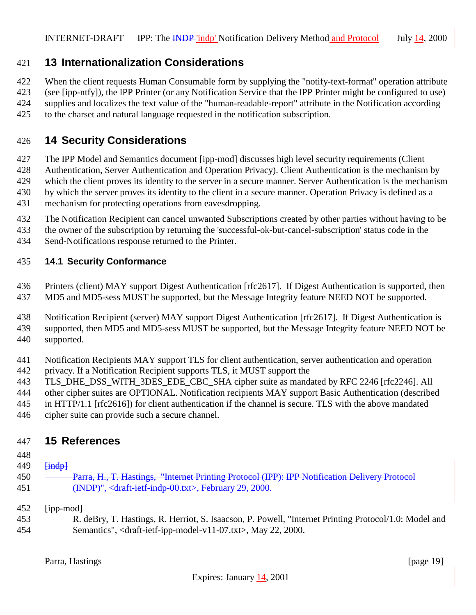# <span id="page-18-0"></span>**13 Internationalization Considerations**

When the client requests Human Consumable form by supplying the "notify-text-format" operation attribute

 (see [ipp-ntfy]), the IPP Printer (or any Notification Service that the IPP Printer might be configured to use) supplies and localizes the text value of the "human-readable-report" attribute in the Notification according

to the charset and natural language requested in the notification subscription.

# **14 Security Considerations**

The IPP Model and Semantics document [ipp-mod] discusses high level security requirements (Client

Authentication, Server Authentication and Operation Privacy). Client Authentication is the mechanism by

 which the client proves its identity to the server in a secure manner. Server Authentication is the mechanism by which the server proves its identity to the client in a secure manner. Operation Privacy is defined as a

- mechanism for protecting operations from eavesdropping.
- The Notification Recipient can cancel unwanted Subscriptions created by other parties without having to be
- the owner of the subscription by returning the 'successful-ok-but-cancel-subscription' status code in the
- Send-Notifications response returned to the Printer.

### **14.1 Security Conformance**

 Printers (client) MAY support Digest Authentication [rfc2617]. If Digest Authentication is supported, then MD5 and MD5-sess MUST be supported, but the Message Integrity feature NEED NOT be supported.

 Notification Recipient (server) MAY support Digest Authentication [rfc2617]. If Digest Authentication is supported, then MD5 and MD5-sess MUST be supported, but the Message Integrity feature NEED NOT be supported.

- Notification Recipients MAY support TLS for client authentication, server authentication and operation privacy. If a Notification Recipient supports TLS, it MUST support the
- TLS\_DHE\_DSS\_WITH\_3DES\_EDE\_CBC\_SHA cipher suite as mandated by RFC 2246 [rfc2246]. All
- other cipher suites are OPTIONAL. Notification recipients MAY support Basic Authentication (described
- in HTTP/1.1 [rfc2616]) for client authentication if the channel is secure. TLS with the above mandated
- cipher suite can provide such a secure channel.

## **15 References**

- 
- **[indp]**
- 450 Parra, H., T. Hastings, "Internet Printing Protocol (IPP): IPP Notification Delivery Protocol 451 (INDP)", <draft-ietf-indp-00.txt>, February 29, 2000.
- [ipp-mod]
- R. deBry, T. Hastings, R. Herriot, S. Isaacson, P. Powell, "Internet Printing Protocol/1.0: Model and Semantics", <draft-ietf-ipp-model-v11-07.txt>, May 22, 2000.

Parra, Hastings [page 19]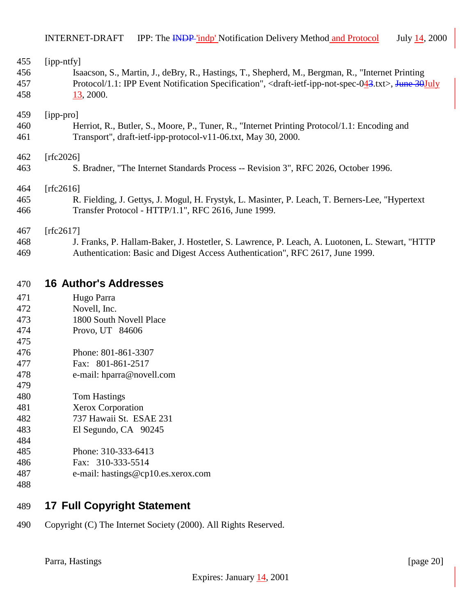<span id="page-19-0"></span>

| 455        | [ipp-ntfy]                                                                                                                            |
|------------|---------------------------------------------------------------------------------------------------------------------------------------|
| 456        | Isaacson, S., Martin, J., deBry, R., Hastings, T., Shepherd, M., Bergman, R., "Internet Printing                                      |
| 457        | Protocol/1.1: IPP Event Notification Specification", <draft-ietf-ipp-not-spec-043.txt>, June 30July</draft-ietf-ipp-not-spec-043.txt> |
| 458        | 13, 2000.                                                                                                                             |
| 459        | [ipp-pro]                                                                                                                             |
| 460        | Herriot, R., Butler, S., Moore, P., Tuner, R., "Internet Printing Protocol/1.1: Encoding and                                          |
| 461        | Transport", draft-ietf-ipp-protocol-v11-06.txt, May 30, 2000.                                                                         |
| 462        | [rfc2026]                                                                                                                             |
| 463        | S. Bradner, "The Internet Standards Process -- Revision 3", RFC 2026, October 1996.                                                   |
| 464        | [rfc2616]                                                                                                                             |
| 465        | R. Fielding, J. Gettys, J. Mogul, H. Frystyk, L. Masinter, P. Leach, T. Berners-Lee, "Hypertext                                       |
| 466        | Transfer Protocol - HTTP/1.1", RFC 2616, June 1999.                                                                                   |
| 467        | [rfc2617]                                                                                                                             |
| 468        | J. Franks, P. Hallam-Baker, J. Hostetler, S. Lawrence, P. Leach, A. Luotonen, L. Stewart, "HTTP                                       |
| 469        | Authentication: Basic and Digest Access Authentication", RFC 2617, June 1999.                                                         |
| 470        | <b>16 Author's Addresses</b>                                                                                                          |
| 471        |                                                                                                                                       |
| 472        | Hugo Parra<br>Novell, Inc.                                                                                                            |
| 473        | 1800 South Novell Place                                                                                                               |
|            |                                                                                                                                       |
| 474<br>475 | Provo, UT 84606                                                                                                                       |
| 476        | Phone: 801-861-3307                                                                                                                   |
|            |                                                                                                                                       |
| 477        | Fax: 801-861-2517                                                                                                                     |

- e-mail: hparra@novell.com
- Tom Hastings
- Xerox Corporation
- 737 Hawaii St. ESAE 231
- El Segundo, CA 90245
- Phone: 310-333-6413 Fax: 310-333-5514
- e-mail: hastings@cp10.es.xerox.com
- 

# **17 Full Copyright Statement**

Copyright (C) The Internet Society (2000). All Rights Reserved.

Parra, Hastings [page 20]